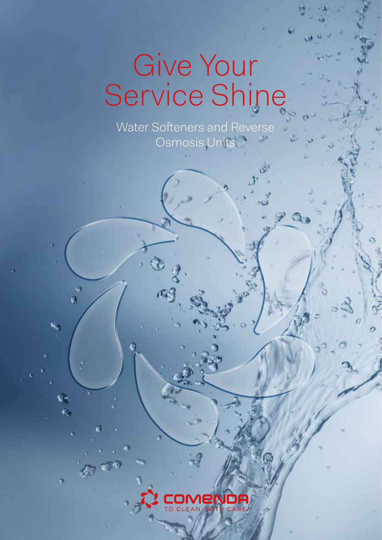# Give Your Service Shine

Water Softeners and Reverse Osmosis Units

s Ō,

Ø.

Š

eno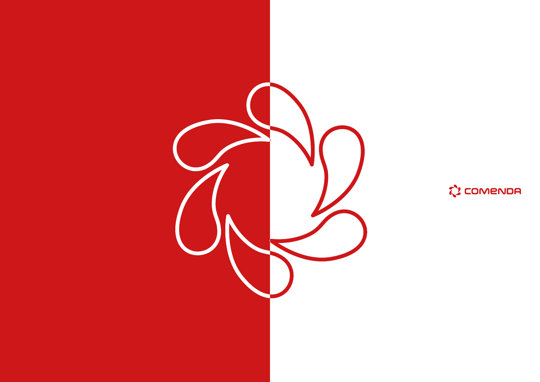

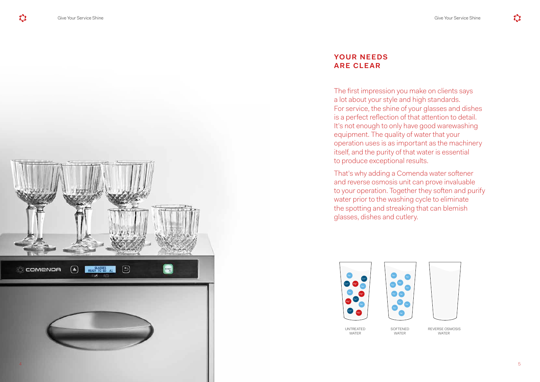The first impression you make on clients says a lot about your style and high standards. For service, the shine of your glasses and dishes is a perfect reflection of that attention to detail. It's not enough to only have good warewashing equipment. The quality of water that your operation uses is as important as the machinery itself, and the purity of that water is essential to produce exceptional results.

That's why adding a Comenda water softener and reverse osmosis unit can prove invaluable to your operation. Together they soften and purify water prior to the washing cycle to eliminate the spotting and streaking that can blemish glasses, dishes and cutlery.

## **YOUR NEEDS ARE CLEAR**





UNTREATED WATER

SOFTENED WATER



 REVERSE OSMOSIS WATER

 $\mathbb{C}^2$ 

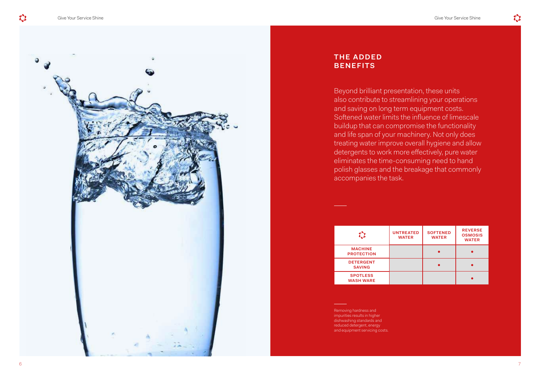Beyond brilliant presentation, these units also contribute to streamlining your operations and saving on long term equipment costs. Softened water limits the influence of limescale buildup that can compromise the functionality and life span of your machinery. Not only does treating water improve overall hygiene and allow detergents to work more effectively, pure water eliminates the time-consuming need to hand polish glasses and the breakage that commonly accompanies the task.

## **THE ADDED BENEFITS**

Removing hardness and impurities results in higher dishwashing standards and reduced detergent, energy and equipment servicing costs.

| 2                                   | <b>UNTREATED</b><br><b>WATER</b> | <b>SOFTENED</b><br><b>WATER</b> | <b>REVERSE</b><br><b>OSMOSIS</b><br><b>WATER</b> |
|-------------------------------------|----------------------------------|---------------------------------|--------------------------------------------------|
| <b>MACHINE</b><br><b>PROTECTION</b> |                                  |                                 |                                                  |
| <b>DETERGENT</b><br><b>SAVING</b>   |                                  |                                 |                                                  |
| <b>SPOTLESS</b><br><b>WASH WARE</b> |                                  |                                 |                                                  |



![](_page_3_Picture_9.jpeg)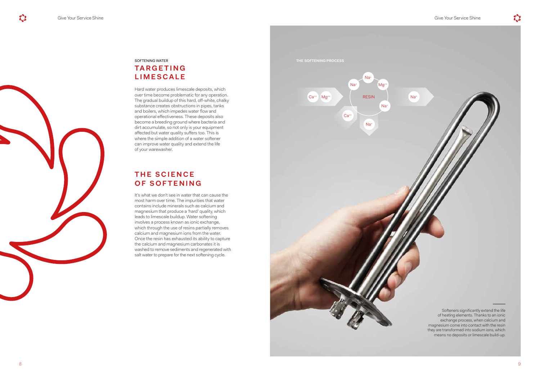![](_page_4_Picture_1.jpeg)

## SOFTENING WATER **TA R G E T I N G LIMESCALE**

## **THE SCIENCE OF SOFTENING**

Hard water produces limescale deposits, which over time become problematic for any operation. The gradual buildup of this hard, off-white, chalky substance creates obstructions in pipes, tanks and boilers, which impedes water flow and operational effectiveness. These deposits also become a breeding ground where bacteria and dirt accumulate, so not only is your equipment affected but water quality suffers too. This is where the simple addition of a water softener can improve water quality and extend the life of your warewasher.

It's what we don't see in water that can cause the most harm over time. The impurities that water contains include minerals such as calcium and magnesium that produce a 'hard' quality, which leads to limescale buildup. Water softening involves a process known as ionic exchange, which through the use of resins partially removes calcium and magnesium ions from the water. Once the resin has exhausted its ability to capture the calcium and magnesium carbonates it is washed to remove sediments and regenerated with salt water to prepare for the next softening cycle.

Softeners significantly extend the life of heating elements. Thanks to an ionic exchange process, when calcium and magnesium come into contact with the resin they are transformed into sodium ions, which means no deposits or limescale build-up.

![](_page_4_Figure_7.jpeg)

 $\mathbf{C}$ 

**THE SOFTENING PROCESS**

![](_page_4_Picture_11.jpeg)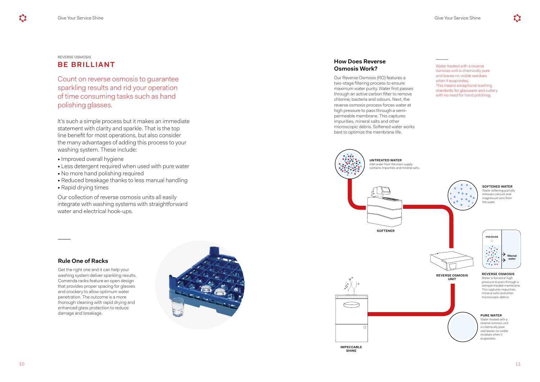#### REVERSE OSMOSIS

## **BE BRILLIANT**

Count on reverse osmosis to guarantee sparkling results and rid your operation of time consuming tasks such as hand polishing glasses.

It's such a simple process but it makes an immediate statement with clarity and sparkle. That is the top line benefit for most operations, but also consider the many advantages of adding this process to your washing system. These include: • Improved overall hygiene

- 
- Less detergent required when used with pure water No more hand polishing required
- 
- Reduced breakage thanks to less manual handling
- Rapid drying times

Our collection of reverse osmosis units all easily integrate with washing systems with straightforward water and electrical hook-ups.

## **Rule One of Racks**

### **How Does Reverse Osmosis Work?** Water treated with a reverse

Get the right one and it can help your washing system deliver sparkling results. Comenda racks feature an open design that provides proper spacing for glasses and crockery to allow optimum water penetration. The outcome is a more thorough cleaning with rapid drying and enhanced glass protection to reduce damage and breakage.

![](_page_5_Picture_16.jpeg)

Our Reverse Osmosis (RO) features a two-stage filtering process to ensure maximum water purity. Water first passes through an active carbon filter to remove chlorine, bacteria and odours. Next, the reverse osmosis process forces water at high pressure to pass through a semipermeable membrane. This captures impurities, mineral salts and other microscopic debris. Softened water works best to optimize the membrane life.

#### osmosis unit is chemically pure and leaves no visible residues when it evaporates. This means exceptional washing standards for glassware and cutlery with no need for hand polishing.

![](_page_5_Figure_13.jpeg)

#### **PURE WATER**

Water treated with a reverse osmosis unit is chemically pure and leaves no visible residues when it evaporates.

#### **SOFTENED WATER**

Water softening partially removes calcium and magnesium ions from the water.

![](_page_5_Picture_17.jpeg)

**IMPECCABLE SHINE**

#### **REVERSE OSMOSIS** Water is forced at high pressure to pass through a semipermeable membrane. This captures impurities,

mineral salts and other microscopic debris.

![](_page_5_Figure_29.jpeg)

![](_page_5_Picture_22.jpeg)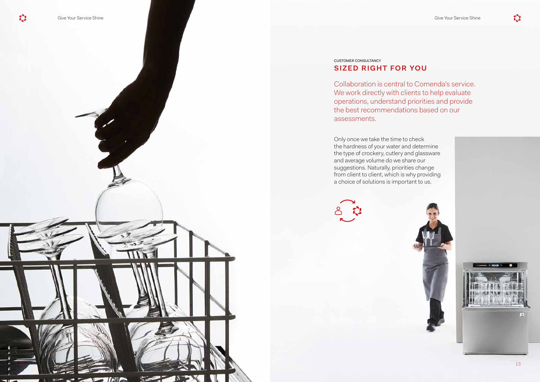Only once we take the time to check the hardness of your water and determine the type of crockery, cutlery and glassware and average volume do we share our suggestions. Naturally, priorities change from client to client, which is why providing a choice of solutions is important to us.

![](_page_6_Picture_5.jpeg)

![](_page_6_Picture_7.jpeg)

![](_page_6_Picture_9.jpeg)

## CUSTOMER CONSULTANCY **SIZED RIGHT FOR YOU**

Collaboration is central to Comenda's service. We work directly with clients to help evaluate operations, understand priorities and provide the best recommendations based on our assessments.

![](_page_6_Picture_1.jpeg)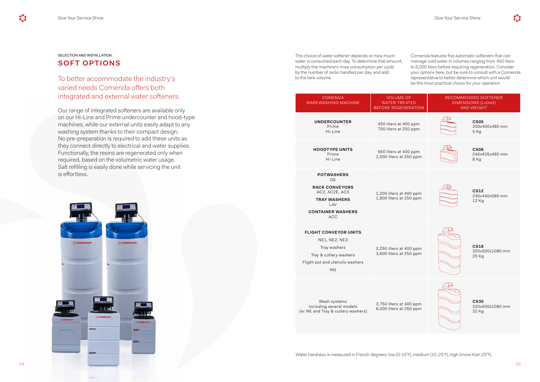## SELECTION AND INSTALLATION **SOFT OPTIONS**

To better accommodate the industry's varied needs Comenda offers both integrated and external water softeners.

Our range of integrated softeners are available only on our Hi-Line and Prime undercounter and hood-type machines, while our external units easily adapt to any washing system thanks to their compact design. No pre-preparation is required to add these units as they connect directly to electrical and water supplies. Functionally, the resins are regenerated only when required, based on the volumetric water usage. Salt refilling is easily done while servicing the unit is effortless.

The choice of water softener depends on how much water is consumed each day. To determine that amount, multiply the machine's rinse consumption per cycle by the number of racks handled per day, and add to the tank volume.

Comenda features five automatic softeners that can manage cold water in volumes ranging from 450 liters to 6,000 liters before requiring regeneration. Consider your options here, but be sure to consult with a Comenda representative to better determine which unit would be the most practical choice for your operation

| <b>COMENDA</b><br><b>WAREWASHING MACHINE</b>                                                                                               | <b>VOLUME OF</b><br><b>WATER TREATE</b><br><b>BEFORE REGENER</b> |
|--------------------------------------------------------------------------------------------------------------------------------------------|------------------------------------------------------------------|
| <b>UNDERCOUNTER</b><br>Prime<br>Hi-Line                                                                                                    | 450 liters at 400<br>700 liters at 250                           |
| <b>HOODTYPE UNITS</b><br>Prime<br>Hi-Line                                                                                                  | 650 liters at 400<br>1,000 liters at 250                         |
| <b>POTWASHERS</b><br><b>GE</b><br><b>RACK CONVEYORS</b><br>AC2, AC2E, AC3<br><b>TRAY WASHERS</b><br>LAV<br><b>CONTAINER WASHERS</b><br>ACC | 1,200 liters at 400<br>1,800 liters at 250                       |
| <b>FLIGHT CONVEYOR UNITS</b><br>NE1, NE2, NE3<br>Tray washers<br>Tray & cutlery washers<br>Flight pot and utensils washers<br>ΝG           | 2,250 liters at 400<br>3,600 liters at 250                       |
| Wash systems<br>including several models<br>(ie: NE and Tray & cutlery washers)                                                            | 3,750 liters at 400<br>6,000 liters at 250                       |
|                                                                                                                                            |                                                                  |

![](_page_7_Figure_13.jpeg)

![](_page_7_Picture_11.jpeg)

![](_page_7_Picture_4.jpeg)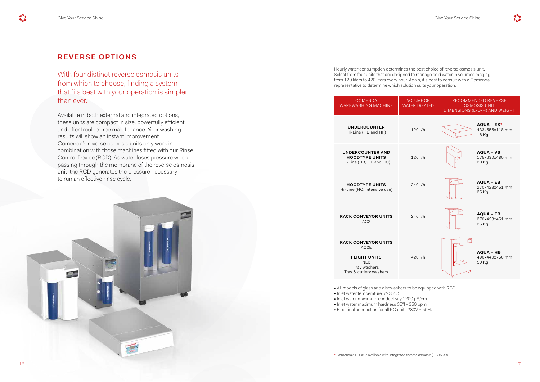| <b>COMENDA</b><br><b>WAREWASHING MACHINE</b>                                                                                                                                                                                                                 | <b>VOLUME OF</b><br><b>WATER TREATED</b> | RECOMMENDED REVERSE<br><b>OSMOSIS UNIT</b><br>DIMENSIONS (LxDxH) AND WEIGHT |                                             |  |  |  |
|--------------------------------------------------------------------------------------------------------------------------------------------------------------------------------------------------------------------------------------------------------------|------------------------------------------|-----------------------------------------------------------------------------|---------------------------------------------|--|--|--|
| <b>UNDERCOUNTER</b><br>Hi-Line (HB and HF)                                                                                                                                                                                                                   | 120 l/h                                  |                                                                             | AQUA + ES*<br>433x555x118 mm<br>16 Kg       |  |  |  |
| <b>UNDERCOUNTER AND</b><br><b>HOODTYPE UNITS</b><br>Hi-Line (HB, HF and HC)                                                                                                                                                                                  | 120 l/h                                  |                                                                             | <b>AQUA + VS</b><br>175x630x480 mm<br>20 Kg |  |  |  |
| <b>HOODTYPE UNITS</b><br>Hi-Line (HC, intensive use)                                                                                                                                                                                                         | 240 l/h                                  |                                                                             | <b>AQUA + EB</b><br>270x428x451 mm<br>25 Kg |  |  |  |
| <b>RACK CONVEYOR UNITS</b><br>AC <sub>3</sub>                                                                                                                                                                                                                | 240 l/h                                  |                                                                             | <b>AQUA + EB</b><br>270x428x451 mm<br>25 Kg |  |  |  |
| <b>RACK CONVEYOR UNITS</b><br>AC <sub>2</sub> E<br><b>FLIGHT UNITS</b><br>NE <sub>3</sub><br>Tray washers<br>Tray & cutlery washers                                                                                                                          | 420 l/h                                  |                                                                             | <b>AQUA + HB</b><br>490x440x750 mm<br>50 Kg |  |  |  |
| . All models of glass and dishwashers to be equipped with RCD<br>• Inlet water temperature 5°-25°C<br>• Inlet water maximum conductivity 1200 µS/cm<br>· Inlet water maximum hardness 35°f - 350 ppm<br>• Electrical connection for all RO units 230V ~ 50Hz |                                          |                                                                             |                                             |  |  |  |

Hourly water consumption determines the best choice of reverse osmosis unit. Select from four units that are designed to manage cold water in volumes ranging from 120 liters to 420 liters every hour. Again, it's best to consult with a Comenda representative to determine which solution suits your operation.

![](_page_8_Picture_10.jpeg)

## **REVERSE OPTIONS**

With four distinct reverse osmosis units from which to choose, finding a system that fits best with your operation is simpler than ever.

Available in both external and integrated options, these units are compact in size, powerfully efficient and offer trouble-free maintenance. Your washing results will show an instant improvement. Comenda's reverse osmosis units only work in combination with those machines fitted with our Rinse Control Device (RCD). As water loses pressure when passing through the membrane of the reverse osmosis unit, the RCD generates the pressure necessary to run an effective rinse cycle.

![](_page_8_Picture_4.jpeg)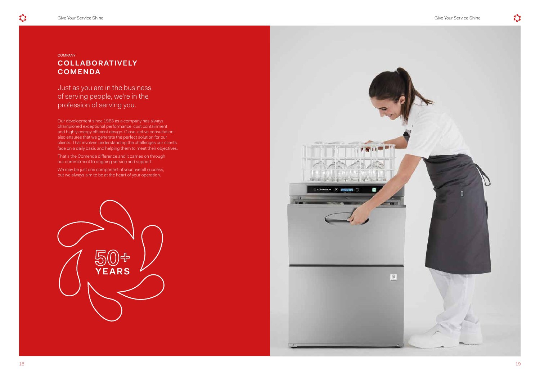**COMPANY** 

## **COLL ABORATIVELY COMENDA**

Just as you are in the business of serving people, we're in the profession of serving you.

Our development since 1963 as a company has always championed exceptional performance, cost containment and highly energy efficient design. Close, active consultation also ensures that we generate the perfect solution for our clients. That involves understanding the challenges our clients face on a daily basis and helping them to meet their objectives.

That's the Comenda difference and it carries on through our commitment to ongoing service and support.

We may be just one component of your overall success, but we always aim to be at the heart of your operation.

![](_page_9_Picture_7.jpeg)

![](_page_9_Picture_8.jpeg)

![](_page_9_Picture_11.jpeg)

 $\mathbf{C}$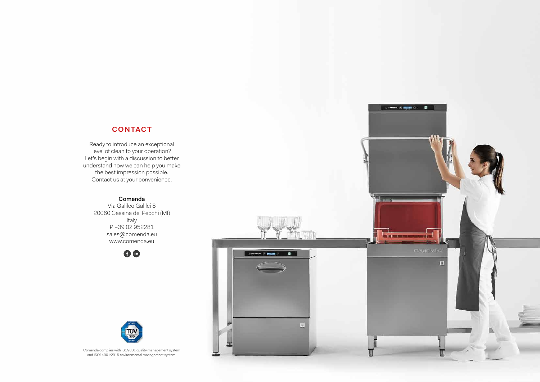## **CONTACT**

Ready to introduce an exceptional level of clean to your operation? Let's begin with a discussion to better understand how we can help you make the best impression possible. Contact us at your convenience.

## Comenda

Via Galileo Galilei 8 20060 Cassina de' Pecchi (MI) Italy P +39 02 952281 sales@comenda.eu www.comenda.eu

![](_page_10_Picture_4.jpeg)

 $\blacksquare$ 

**DI** 

![](_page_10_Picture_5.jpeg)

Comenda complies with ISO9001 quality management system and ISO14001:2015 environmental management system.

![](_page_10_Picture_7.jpeg)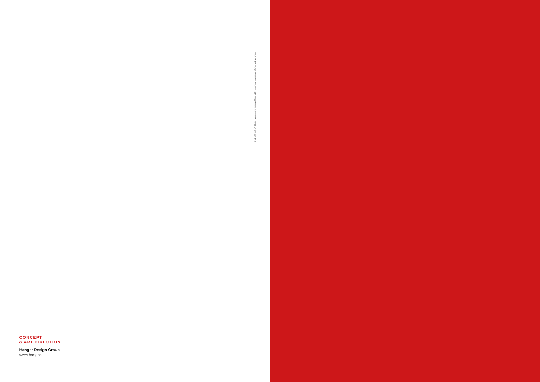#### **CONCEPT & ART DIRECTION**

Cod. 900985EN03.18 - We reserve the right to modify technical features, pictures and graphics.ි

Hangar Design Group www.hangar.it